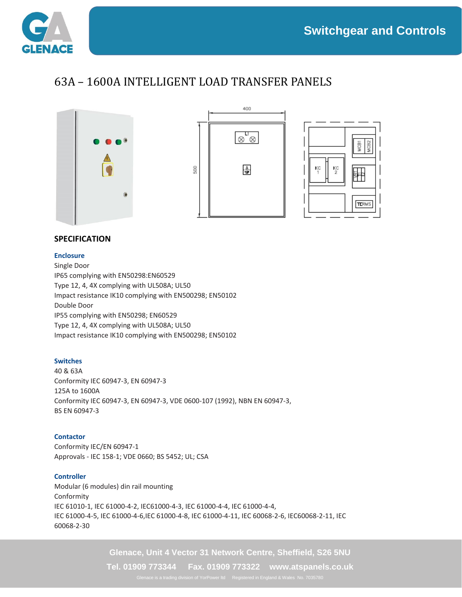

## 63A – 1600A INTELLIGENT LOAD TRANSFER PANELS







### **SPECIFICATION**

#### **Enclosure**

Single Door IP65 complying with EN50298:EN60529 Type 12, 4, 4X complying with UL508A; UL50 Impact resistance IK10 complying with EN500298; EN50102 Double Door IP55 complying with EN50298; EN60529 Type 12, 4, 4X complying with UL508A; UL50 Impact resistance IK10 complying with EN500298; EN50102

#### **Switches**

40 & 63A Conformity IEC 60947-3, EN 60947-3 125A to 1600A Conformity IEC 60947-3, EN 60947-3, VDE 0600-107 (1992), NBN EN 60947-3, BS EN 60947-3

#### **Contactor**

Conformity IEC/EN 60947-1 Approvals - IEC 158-1; VDE 0660; BS 5452; UL; CSA

#### **Controller**

Modular (6 modules) din rail mounting Conformity IEC 61010-1, IEC 61000-4-2, IEC61000-4-3, IEC 61000-4-4, IEC 61000-4-4, IEC 61000-4-5, IEC 61000-4-6,IEC 61000-4-8, IEC 61000-4-11, IEC 60068-2-6, IEC60068-2-11, IEC 60068-2-30

**Glenace, Unit 4 Vector 31 Network Centre, Sheffield, S26 5NU**